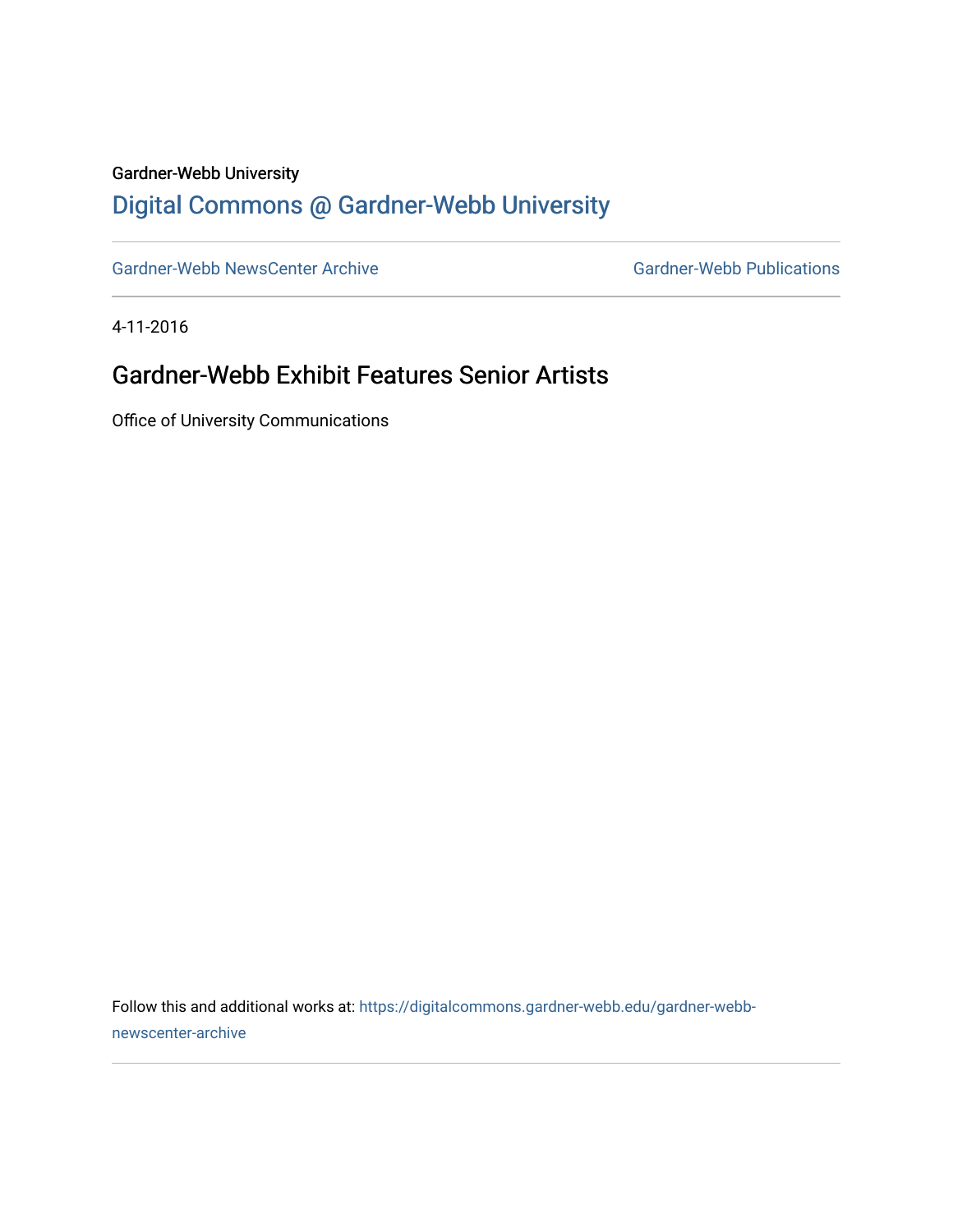#### Gardner-Webb University

## [Digital Commons @ Gardner-Webb University](https://digitalcommons.gardner-webb.edu/)

[Gardner-Webb NewsCenter Archive](https://digitalcommons.gardner-webb.edu/gardner-webb-newscenter-archive) Gardner-Webb Publications

4-11-2016

### Gardner-Webb Exhibit Features Senior Artists

Office of University Communications

Follow this and additional works at: [https://digitalcommons.gardner-webb.edu/gardner-webb](https://digitalcommons.gardner-webb.edu/gardner-webb-newscenter-archive?utm_source=digitalcommons.gardner-webb.edu%2Fgardner-webb-newscenter-archive%2F917&utm_medium=PDF&utm_campaign=PDFCoverPages)[newscenter-archive](https://digitalcommons.gardner-webb.edu/gardner-webb-newscenter-archive?utm_source=digitalcommons.gardner-webb.edu%2Fgardner-webb-newscenter-archive%2F917&utm_medium=PDF&utm_campaign=PDFCoverPages)